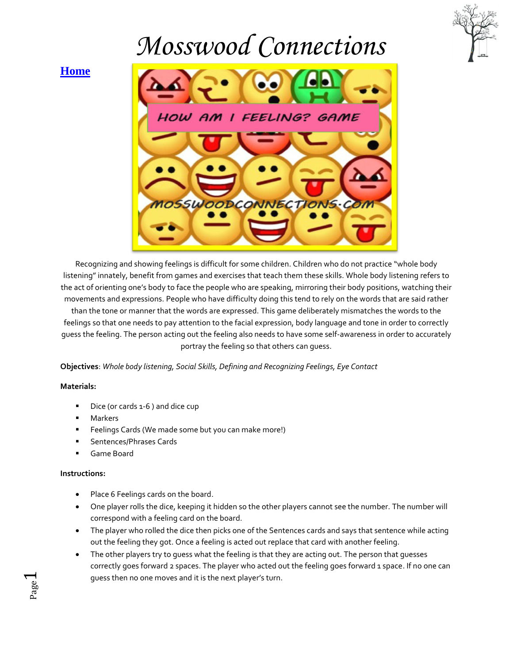

#### **[Home](http://mosswoodconnections.com/)**



Recognizing and showing feelings is difficult for some children. Children who do not practice "whole body listening" innately, benefit from games and exercises that teach them these skills. Whole body listening refers to the act of orienting one's body to face the people who are speaking, mirroring their body positions, watching their movements and expressions. People who have difficulty doing this tend to rely on the words that are said rather than the tone or manner that the words are expressed. This game deliberately mismatches the words to the feelings so that one needs to pay attention to the facial expression, body language and tone in order to correctly guess the feeling. The person acting out the feeling also needs to have some self-awareness in order to accurately portray the feeling so that others can guess.

**Objectives**: *Whole body listening, Social Skills, Defining and Recognizing Feelings, Eye Contact*

#### **Materials:**

- Dice (or cards 1-6 ) and dice cup
- Markers
- Feelings Cards (We made some but you can make more!)
- Sentences/Phrases Cards
- Game Board

#### **Instructions:**

Page  $\overline{\phantom{0}}$ 

- Place 6 Feelings cards on the board.
- One player rolls the dice, keeping it hidden so the other players cannot see the number. The number will correspond with a feeling card on the board.
- The player who rolled the dice then picks one of the Sentences cards and says that sentence while acting out the feeling they got. Once a feeling is acted out replace that card with another feeling.
- The other players try to guess what the feeling is that they are acting out. The person that guesses correctly goes forward 2 spaces. The player who acted out the feeling goes forward 1 space. If no one can guess then no one moves and it is the next player's turn.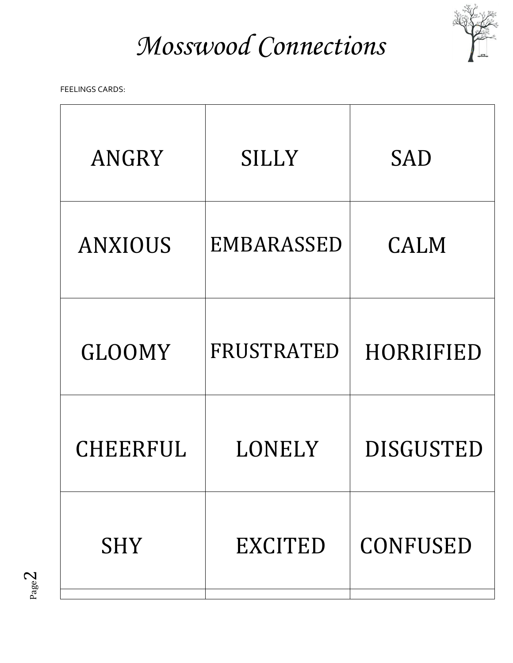

FEELINGS CARDS:

| ANGRY           | <b>SILLY</b>      | <b>SAD</b>       |
|-----------------|-------------------|------------------|
| <b>ANXIOUS</b>  | <b>EMBARASSED</b> | <b>CALM</b>      |
| <b>GLOOMY</b>   | FRUSTRATED        | HORRIFIED        |
| <b>CHEERFUL</b> | LONELY            | <b>DISGUSTED</b> |
| <b>SHY</b>      | <b>EXCITED</b>    | <b>CONFUSED</b>  |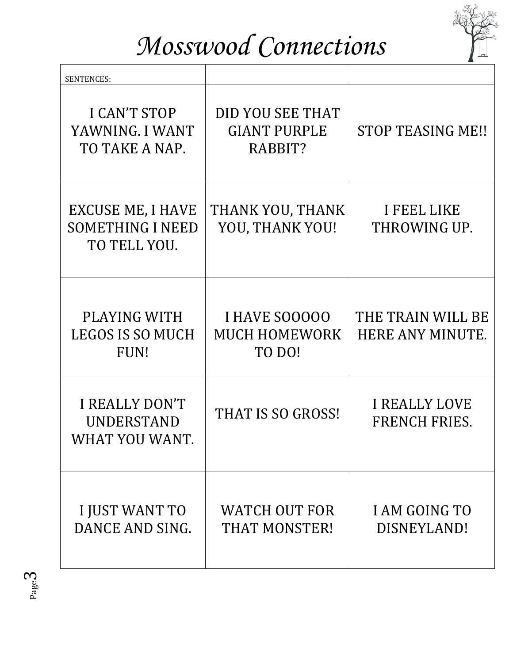

| <b>SENTENCES:</b>                                                   |                                                    |                                              |
|---------------------------------------------------------------------|----------------------------------------------------|----------------------------------------------|
| <b>I CAN'T STOP</b><br>YAWNING. I WANT<br>TO TAKE A NAP.            | DID YOU SEE THAT<br><b>GIANT PURPLE</b><br>RABBIT? | <b>STOP TEASING ME!!</b>                     |
| <b>EXCUSE ME, I HAVE</b><br><b>SOMETHING I NEED</b><br>TO TELL YOU. | THANK YOU, THANK<br>YOU, THANK YOU!                | I FEEL LIKE<br>THROWING UP.                  |
| PLAYING WITH<br><b>LEGOS IS SO MUCH</b><br>FUN!                     | I HAVE SOOOOO<br><b>MUCH HOMEWORK</b><br>TO DO!    | THE TRAIN WILL BE<br>HERE ANY MINUTE.        |
| <b>I REALLY DON'T</b><br>UNDERSTAND<br>WHAT YOU WANT.               | THAT IS SO GROSS!                                  | <b>I REALLY LOVE</b><br><b>FRENCH FRIES.</b> |
| I JUST WANT TO<br>DANCE AND SING.                                   | <b>WATCH OUT FOR</b><br><b>THAT MONSTER!</b>       | <b>I AM GOING TO</b><br>DISNEYLAND!          |

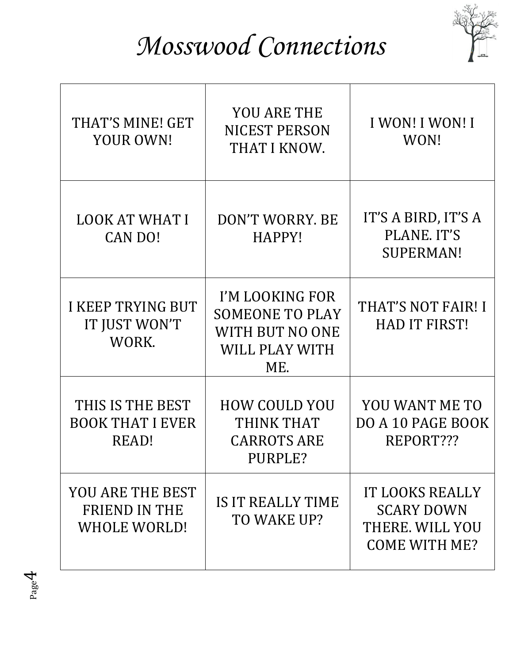

| THAT'S MINE! GET<br>YOUR OWN!                                   | <b>YOU ARE THE</b><br><b>NICEST PERSON</b><br>THAT I KNOW.                            | <b>I WON! I WON! I</b><br>WON!                                                         |
|-----------------------------------------------------------------|---------------------------------------------------------------------------------------|----------------------------------------------------------------------------------------|
| <b>LOOK AT WHAT I</b><br>CAN DO!                                | DON'T WORRY, BE<br>HAPPY!                                                             | IT'S A BIRD, IT'S A<br>PLANE, IT'S<br><b>SUPERMAN!</b>                                 |
| <b>I KEEP TRYING BUT</b><br>IT JUST WON'T<br>WORK.              | I'M LOOKING FOR<br><b>SOMEONE TO PLAY</b><br>WITH BUT NO ONE<br>WILL PLAY WITH<br>ME. | THAT'S NOT FAIR! I<br><b>HAD IT FIRST!</b>                                             |
| THIS IS THE BEST<br><b>BOOK THAT I EVER</b><br>READ!            | <b>HOW COULD YOU</b><br>THINK THAT<br><b>CARROTS ARE</b><br>PURPLE?                   | YOU WANT ME TO<br>DO A 10 PAGE BOOK<br>REPORT???                                       |
| YOU ARE THE BEST<br><b>FRIEND IN THE</b><br><b>WHOLE WORLD!</b> | IS IT REALLY TIME<br>TO WAKE UP?                                                      | <b>IT LOOKS REALLY</b><br><b>SCARY DOWN</b><br>THERE. WILL YOU<br><b>COME WITH ME?</b> |

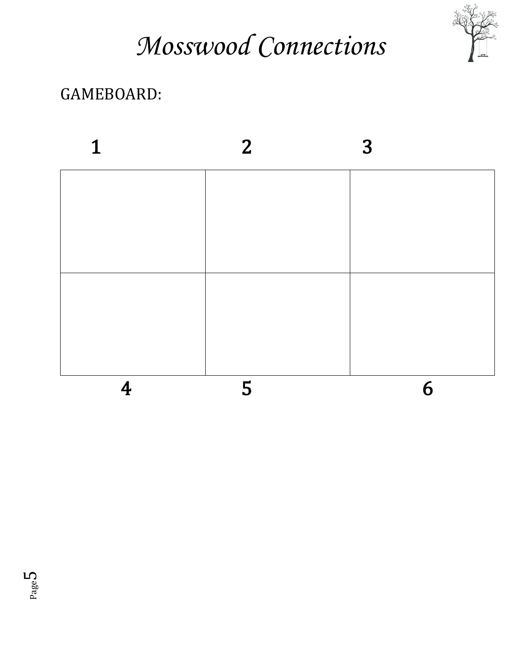

#### GAMEBOARD: